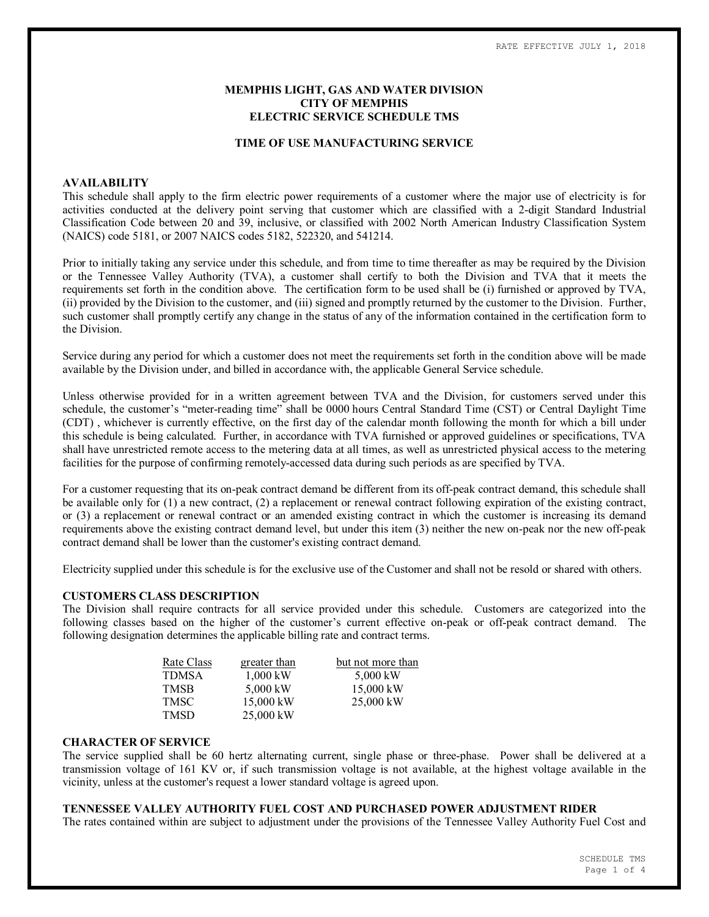### **MEMPHIS LIGHT, GAS AND WATER DIVISION CITY OF MEMPHIS ELECTRIC SERVICE SCHEDULE TMS**

#### **TIME OF USE MANUFACTURING SERVICE**

#### **AVAILABILITY**

This schedule shall apply to the firm electric power requirements of a customer where the major use of electricity is for activities conducted at the delivery point serving that customer which are classified with a 2-digit Standard Industrial Classification Code between 20 and 39, inclusive, or classified with 2002 North American Industry Classification System (NAICS) code 5181, or 2007 NAICS codes 5182, 522320, and 541214.

Prior to initially taking any service under this schedule, and from time to time thereafter as may be required by the Division or the Tennessee Valley Authority (TVA), a customer shall certify to both the Division and TVA that it meets the requirements set forth in the condition above. The certification form to be used shall be (i) furnished or approved by TVA, (ii) provided by the Division to the customer, and (iii) signed and promptly returned by the customer to the Division. Further, such customer shall promptly certify any change in the status of any of the information contained in the certification form to the Division.

Service during any period for which a customer does not meet the requirements set forth in the condition above will be made available by the Division under, and billed in accordance with, the applicable General Service schedule.

Unless otherwise provided for in a written agreement between TVA and the Division, for customers served under this schedule, the customer's "meter-reading time" shall be 0000 hours Central Standard Time (CST) or Central Daylight Time (CDT) , whichever is currently effective, on the first day of the calendar month following the month for which a bill under this schedule is being calculated. Further, in accordance with TVA furnished or approved guidelines or specifications, TVA shall have unrestricted remote access to the metering data at all times, as well as unrestricted physical access to the metering facilities for the purpose of confirming remotely-accessed data during such periods as are specified by TVA.

For a customer requesting that its on-peak contract demand be different from its off-peak contract demand, this schedule shall be available only for (1) a new contract, (2) a replacement or renewal contract following expiration of the existing contract, or (3) a replacement or renewal contract or an amended existing contract in which the customer is increasing its demand requirements above the existing contract demand level, but under this item (3) neither the new on-peak nor the new off-peak contract demand shall be lower than the customer's existing contract demand.

Electricity supplied under this schedule is for the exclusive use of the Customer and shall not be resold or shared with others.

#### **CUSTOMERS CLASS DESCRIPTION**

The Division shall require contracts for all service provided under this schedule. Customers are categorized into the following classes based on the higher of the customer's current effective on-peak or off-peak contract demand. The following designation determines the applicable billing rate and contract terms.

| Rate Class | greater than | but not more than |
|------------|--------------|-------------------|
| TDMSA      | $1,000$ kW   | 5,000 kW          |
| TMSB       | 5,000 kW     | $15,000$ kW       |
| TMSC       | 15,000 kW    | $25,000$ kW       |
| TMSD       | 25,000 kW    |                   |

#### **CHARACTER OF SERVICE**

The service supplied shall be 60 hertz alternating current, single phase or three-phase. Power shall be delivered at a transmission voltage of 161 KV or, if such transmission voltage is not available, at the highest voltage available in the vicinity, unless at the customer's request a lower standard voltage is agreed upon.

# **TENNESSEE VALLEY AUTHORITY FUEL COST AND PURCHASED POWER ADJUSTMENT RIDER**

The rates contained within are subject to adjustment under the provisions of the Tennessee Valley Authority Fuel Cost and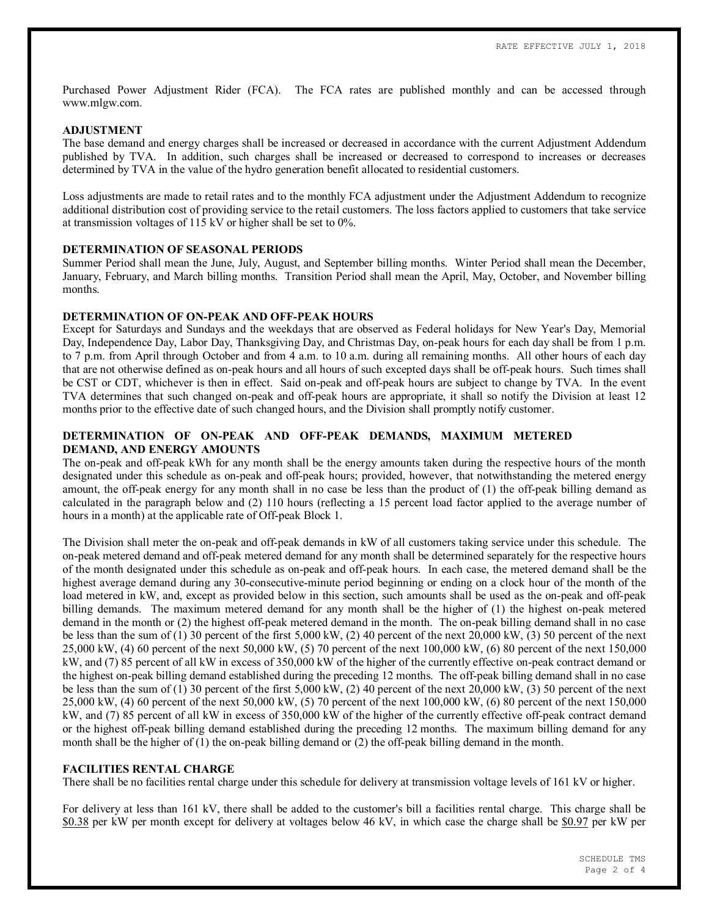Purchased Power Adjustment Rider (FCA). The FCA rates are published monthly and can be accessed through www.mlgw.com.

## **ADJUSTMENT**

The base demand and energy charges shall be increased or decreased in accordance with the current Adjustment Addendum published by TVA. In addition, such charges shall be increased or decreased to correspond to increases or decreases determined by TVA in the value of the hydro generation benefit allocated to residential customers.

Loss adjustments are made to retail rates and to the monthly FCA adjustment under the Adjustment Addendum to recognize additional distribution cost of providing service to the retail customers. The loss factors applied to customers that take service at transmission voltages of 115 kV or higher shall be set to 0%.

### **DETERMINATION OF SEASONAL PERIODS**

Summer Period shall mean the June, July, August, and September billing months. Winter Period shall mean the December, January, February, and March billing months. Transition Period shall mean the April, May, October, and November billing months.

### **DETERMINATION OF ON-PEAK AND OFF-PEAK HOURS**

Except for Saturdays and Sundays and the weekdays that are observed as Federal holidays for New Year's Day, Memorial Day, Independence Day, Labor Day, Thanksgiving Day, and Christmas Day, on-peak hours for each day shall be from 1 p.m. to 7 p.m. from April through October and from 4 a.m. to 10 a.m. during all remaining months. All other hours of each day that are not otherwise defined as on-peak hours and all hours of such excepted days shall be off-peak hours. Such times shall be CST or CDT, whichever is then in effect. Said on-peak and off-peak hours are subject to change by TVA. In the event TVA determines that such changed on-peak and off-peak hours are appropriate, it shall so notify the Division at least 12 months prior to the effective date of such changed hours, and the Division shall promptly notify customer.

## **DETERMINATION OF ON-PEAK AND OFF-PEAK DEMANDS, MAXIMUM METERED DEMAND, AND ENERGY AMOUNTS**

The on-peak and off-peak kWh for any month shall be the energy amounts taken during the respective hours of the month designated under this schedule as on-peak and off-peak hours; provided, however, that notwithstanding the metered energy amount, the off-peak energy for any month shall in no case be less than the product of (1) the off-peak billing demand as calculated in the paragraph below and (2) 110 hours (reflecting a 15 percent load factor applied to the average number of hours in a month) at the applicable rate of Off-peak Block 1.

The Division shall meter the on-peak and off-peak demands in kW of all customers taking service under this schedule. The on-peak metered demand and off-peak metered demand for any month shall be determined separately for the respective hours of the month designated under this schedule as on-peak and off-peak hours. In each case, the metered demand shall be the highest average demand during any 30-consecutive-minute period beginning or ending on a clock hour of the month of the load metered in kW, and, except as provided below in this section, such amounts shall be used as the on-peak and off-peak billing demands. The maximum metered demand for any month shall be the higher of (1) the highest on-peak metered demand in the month or (2) the highest off-peak metered demand in the month. The on-peak billing demand shall in no case be less than the sum of (1) 30 percent of the first 5,000 kW, (2) 40 percent of the next 20,000 kW, (3) 50 percent of the next 25,000 kW, (4) 60 percent of the next 50,000 kW, (5) 70 percent of the next 100,000 kW, (6) 80 percent of the next 150,000 kW, and (7) 85 percent of all kW in excess of 350,000 kW of the higher of the currently effective on-peak contract demand or the highest on-peak billing demand established during the preceding 12 months. The off-peak billing demand shall in no case be less than the sum of (1) 30 percent of the first 5,000 kW, (2) 40 percent of the next 20,000 kW, (3) 50 percent of the next 25,000 kW, (4) 60 percent of the next 50,000 kW, (5) 70 percent of the next 100,000 kW, (6) 80 percent of the next 150,000 kW, and (7) 85 percent of all kW in excess of 350,000 kW of the higher of the currently effective off-peak contract demand or the highest off-peak billing demand established during the preceding 12 months. The maximum billing demand for any month shall be the higher of (1) the on-peak billing demand or (2) the off-peak billing demand in the month.

#### **FACILITIES RENTAL CHARGE**

There shall be no facilities rental charge under this schedule for delivery at transmission voltage levels of 161 kV or higher.

For delivery at less than 161 kV, there shall be added to the customer's bill a facilities rental charge. This charge shall be \$0.38 per kW per month except for delivery at voltages below 46 kV, in which case the charge shall be \$0.97 per kW per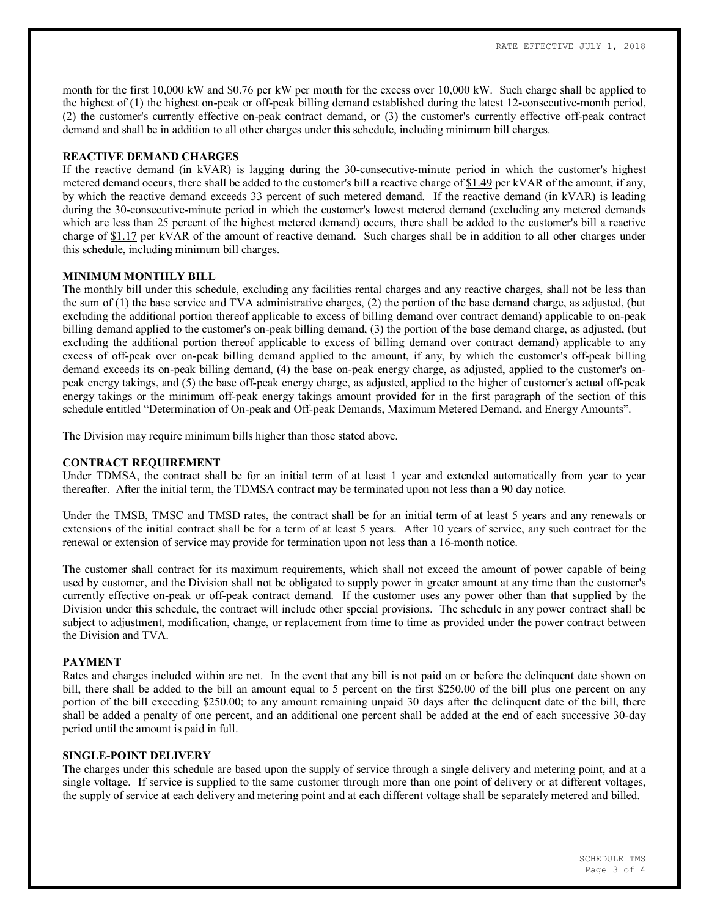month for the first 10,000 kW and \$0.76 per kW per month for the excess over 10,000 kW. Such charge shall be applied to the highest of (1) the highest on-peak or off-peak billing demand established during the latest 12-consecutive-month period, (2) the customer's currently effective on-peak contract demand, or (3) the customer's currently effective off-peak contract demand and shall be in addition to all other charges under this schedule, including minimum bill charges.

### **REACTIVE DEMAND CHARGES**

If the reactive demand (in kVAR) is lagging during the 30-consecutive-minute period in which the customer's highest metered demand occurs, there shall be added to the customer's bill a reactive charge of \$1.49 per kVAR of the amount, if any, by which the reactive demand exceeds 33 percent of such metered demand. If the reactive demand (in kVAR) is leading during the 30-consecutive-minute period in which the customer's lowest metered demand (excluding any metered demands which are less than 25 percent of the highest metered demand) occurs, there shall be added to the customer's bill a reactive charge of \$1.17 per kVAR of the amount of reactive demand. Such charges shall be in addition to all other charges under this schedule, including minimum bill charges.

### **MINIMUM MONTHLY BILL**

The monthly bill under this schedule, excluding any facilities rental charges and any reactive charges, shall not be less than the sum of (1) the base service and TVA administrative charges, (2) the portion of the base demand charge, as adjusted, (but excluding the additional portion thereof applicable to excess of billing demand over contract demand) applicable to on-peak billing demand applied to the customer's on-peak billing demand, (3) the portion of the base demand charge, as adjusted, (but excluding the additional portion thereof applicable to excess of billing demand over contract demand) applicable to any excess of off-peak over on-peak billing demand applied to the amount, if any, by which the customer's off-peak billing demand exceeds its on-peak billing demand, (4) the base on-peak energy charge, as adjusted, applied to the customer's onpeak energy takings, and (5) the base off-peak energy charge, as adjusted, applied to the higher of customer's actual off-peak energy takings or the minimum off-peak energy takings amount provided for in the first paragraph of the section of this schedule entitled "Determination of On-peak and Off-peak Demands, Maximum Metered Demand, and Energy Amounts".

The Division may require minimum bills higher than those stated above.

# **CONTRACT REQUIREMENT**

Under TDMSA, the contract shall be for an initial term of at least 1 year and extended automatically from year to year thereafter. After the initial term, the TDMSA contract may be terminated upon not less than a 90 day notice.

Under the TMSB, TMSC and TMSD rates, the contract shall be for an initial term of at least 5 years and any renewals or extensions of the initial contract shall be for a term of at least 5 years. After 10 years of service, any such contract for the renewal or extension of service may provide for termination upon not less than a 16-month notice.

The customer shall contract for its maximum requirements, which shall not exceed the amount of power capable of being used by customer, and the Division shall not be obligated to supply power in greater amount at any time than the customer's currently effective on-peak or off-peak contract demand. If the customer uses any power other than that supplied by the Division under this schedule, the contract will include other special provisions. The schedule in any power contract shall be subject to adjustment, modification, change, or replacement from time to time as provided under the power contract between the Division and TVA.

#### **PAYMENT**

Rates and charges included within are net. In the event that any bill is not paid on or before the delinquent date shown on bill, there shall be added to the bill an amount equal to 5 percent on the first \$250.00 of the bill plus one percent on any portion of the bill exceeding \$250.00; to any amount remaining unpaid 30 days after the delinquent date of the bill, there shall be added a penalty of one percent, and an additional one percent shall be added at the end of each successive 30-day period until the amount is paid in full.

#### **SINGLE-POINT DELIVERY**

The charges under this schedule are based upon the supply of service through a single delivery and metering point, and at a single voltage. If service is supplied to the same customer through more than one point of delivery or at different voltages, the supply of service at each delivery and metering point and at each different voltage shall be separately metered and billed.